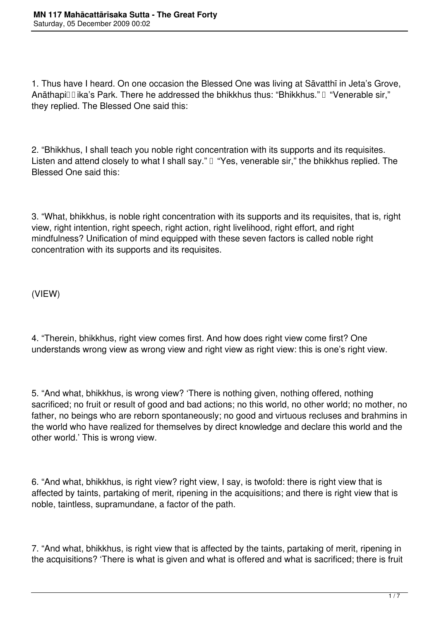1. Thus have I heard. On one occasion the Blessed One was living at Sāvatthī in Jeta's Grove, Anāthapiūūika's Park. There he addressed the bhikkhus thus: "Bhikkhus." [ "Venerable sir," they replied. The Blessed One said this:

2. "Bhikkhus, I shall teach you noble right concentration with its supports and its requisites. Listen and attend closely to what I shall say." ― "Yes, venerable sir," the bhikkhus replied. The Blessed One said this:

3. "What, bhikkhus, is noble right concentration with its supports and its requisites, that is, right view, right intention, right speech, right action, right livelihood, right effort, and right mindfulness? Unification of mind equipped with these seven factors is called noble right concentration with its supports and its requisites.

(VIEW)

4. "Therein, bhikkhus, right view comes first. And how does right view come first? One understands wrong view as wrong view and right view as right view: this is one's right view.

5. "And what, bhikkhus, is wrong view? 'There is nothing given, nothing offered, nothing sacrificed; no fruit or result of good and bad actions; no this world, no other world; no mother, no father, no beings who are reborn spontaneously; no good and virtuous recluses and brahmins in the world who have realized for themselves by direct knowledge and declare this world and the other world.' This is wrong view.

6. "And what, bhikkhus, is right view? right view, I say, is twofold: there is right view that is affected by taints, partaking of merit, ripening in the acquisitions; and there is right view that is noble, taintless, supramundane, a factor of the path.

7. "And what, bhikkhus, is right view that is affected by the taints, partaking of merit, ripening in the acquisitions? 'There is what is given and what is offered and what is sacrificed; there is fruit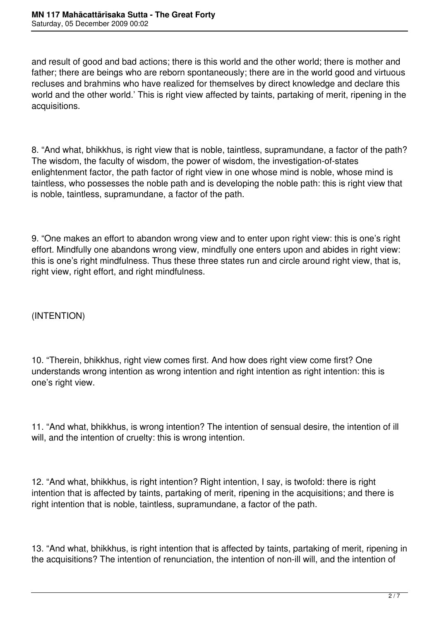and result of good and bad actions; there is this world and the other world; there is mother and father; there are beings who are reborn spontaneously; there are in the world good and virtuous recluses and brahmins who have realized for themselves by direct knowledge and declare this world and the other world.' This is right view affected by taints, partaking of merit, ripening in the acquisitions.

8. "And what, bhikkhus, is right view that is noble, taintless, supramundane, a factor of the path? The wisdom, the faculty of wisdom, the power of wisdom, the investigation-of-states enlightenment factor, the path factor of right view in one whose mind is noble, whose mind is taintless, who possesses the noble path and is developing the noble path: this is right view that is noble, taintless, supramundane, a factor of the path.

9. "One makes an effort to abandon wrong view and to enter upon right view: this is one's right effort. Mindfully one abandons wrong view, mindfully one enters upon and abides in right view: this is one's right mindfulness. Thus these three states run and circle around right view, that is, right view, right effort, and right mindfulness.

(INTENTION)

10. "Therein, bhikkhus, right view comes first. And how does right view come first? One understands wrong intention as wrong intention and right intention as right intention: this is one's right view.

11. "And what, bhikkhus, is wrong intention? The intention of sensual desire, the intention of ill will, and the intention of cruelty: this is wrong intention.

12. "And what, bhikkhus, is right intention? Right intention, I say, is twofold: there is right intention that is affected by taints, partaking of merit, ripening in the acquisitions; and there is right intention that is noble, taintless, supramundane, a factor of the path.

13. "And what, bhikkhus, is right intention that is affected by taints, partaking of merit, ripening in the acquisitions? The intention of renunciation, the intention of non-ill will, and the intention of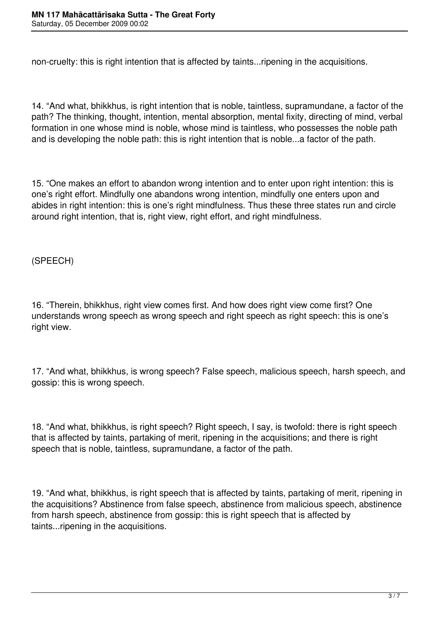non-cruelty: this is right intention that is affected by taints...ripening in the acquisitions.

14. "And what, bhikkhus, is right intention that is noble, taintless, supramundane, a factor of the path? The thinking, thought, intention, mental absorption, mental fixity, directing of mind, verbal formation in one whose mind is noble, whose mind is taintless, who possesses the noble path and is developing the noble path: this is right intention that is noble...a factor of the path.

15. "One makes an effort to abandon wrong intention and to enter upon right intention: this is one's right effort. Mindfully one abandons wrong intention, mindfully one enters upon and abides in right intention: this is one's right mindfulness. Thus these three states run and circle around right intention, that is, right view, right effort, and right mindfulness.

(SPEECH)

16. "Therein, bhikkhus, right view comes first. And how does right view come first? One understands wrong speech as wrong speech and right speech as right speech: this is one's right view.

17. "And what, bhikkhus, is wrong speech? False speech, malicious speech, harsh speech, and gossip: this is wrong speech.

18. "And what, bhikkhus, is right speech? Right speech, I say, is twofold: there is right speech that is affected by taints, partaking of merit, ripening in the acquisitions; and there is right speech that is noble, taintless, supramundane, a factor of the path.

19. "And what, bhikkhus, is right speech that is affected by taints, partaking of merit, ripening in the acquisitions? Abstinence from false speech, abstinence from malicious speech, abstinence from harsh speech, abstinence from gossip: this is right speech that is affected by taints...ripening in the acquisitions.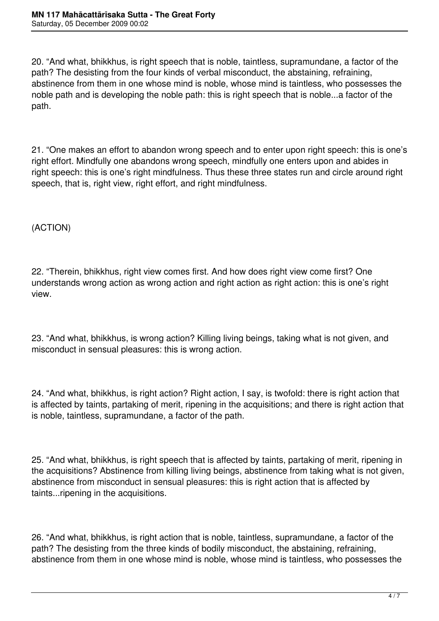20. "And what, bhikkhus, is right speech that is noble, taintless, supramundane, a factor of the path? The desisting from the four kinds of verbal misconduct, the abstaining, refraining, abstinence from them in one whose mind is noble, whose mind is taintless, who possesses the noble path and is developing the noble path: this is right speech that is noble...a factor of the path.

21. "One makes an effort to abandon wrong speech and to enter upon right speech: this is one's right effort. Mindfully one abandons wrong speech, mindfully one enters upon and abides in right speech: this is one's right mindfulness. Thus these three states run and circle around right speech, that is, right view, right effort, and right mindfulness.

(ACTION)

22. "Therein, bhikkhus, right view comes first. And how does right view come first? One understands wrong action as wrong action and right action as right action: this is one's right view.

23. "And what, bhikkhus, is wrong action? Killing living beings, taking what is not given, and misconduct in sensual pleasures: this is wrong action.

24. "And what, bhikkhus, is right action? Right action, I say, is twofold: there is right action that is affected by taints, partaking of merit, ripening in the acquisitions; and there is right action that is noble, taintless, supramundane, a factor of the path.

25. "And what, bhikkhus, is right speech that is affected by taints, partaking of merit, ripening in the acquisitions? Abstinence from killing living beings, abstinence from taking what is not given, abstinence from misconduct in sensual pleasures: this is right action that is affected by taints...ripening in the acquisitions.

26. "And what, bhikkhus, is right action that is noble, taintless, supramundane, a factor of the path? The desisting from the three kinds of bodily misconduct, the abstaining, refraining, abstinence from them in one whose mind is noble, whose mind is taintless, who possesses the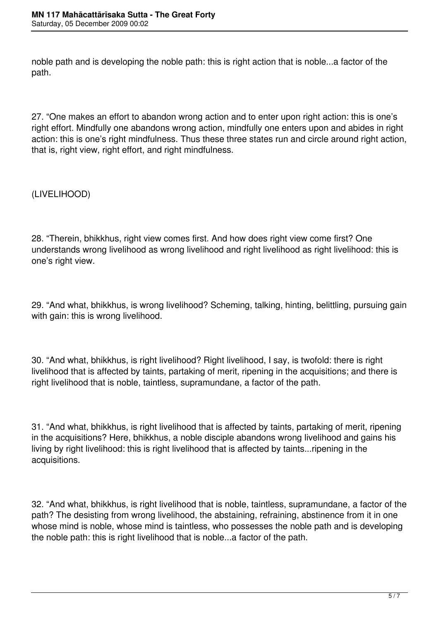noble path and is developing the noble path: this is right action that is noble...a factor of the path.

27. "One makes an effort to abandon wrong action and to enter upon right action: this is one's right effort. Mindfully one abandons wrong action, mindfully one enters upon and abides in right action: this is one's right mindfulness. Thus these three states run and circle around right action, that is, right view, right effort, and right mindfulness.

(LIVELIHOOD)

28. "Therein, bhikkhus, right view comes first. And how does right view come first? One understands wrong livelihood as wrong livelihood and right livelihood as right livelihood: this is one's right view.

29. "And what, bhikkhus, is wrong livelihood? Scheming, talking, hinting, belittling, pursuing gain with gain: this is wrong livelihood.

30. "And what, bhikkhus, is right livelihood? Right livelihood, I say, is twofold: there is right livelihood that is affected by taints, partaking of merit, ripening in the acquisitions; and there is right livelihood that is noble, taintless, supramundane, a factor of the path.

31. "And what, bhikkhus, is right livelihood that is affected by taints, partaking of merit, ripening in the acquisitions? Here, bhikkhus, a noble disciple abandons wrong livelihood and gains his living by right livelihood: this is right livelihood that is affected by taints...ripening in the acquisitions.

32. "And what, bhikkhus, is right livelihood that is noble, taintless, supramundane, a factor of the path? The desisting from wrong livelihood, the abstaining, refraining, abstinence from it in one whose mind is noble, whose mind is taintless, who possesses the noble path and is developing the noble path: this is right livelihood that is noble...a factor of the path.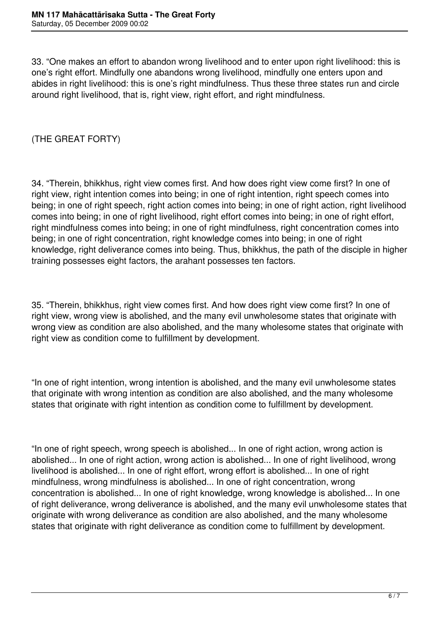33. "One makes an effort to abandon wrong livelihood and to enter upon right livelihood: this is one's right effort. Mindfully one abandons wrong livelihood, mindfully one enters upon and abides in right livelihood: this is one's right mindfulness. Thus these three states run and circle around right livelihood, that is, right view, right effort, and right mindfulness.

(THE GREAT FORTY)

34. "Therein, bhikkhus, right view comes first. And how does right view come first? In one of right view, right intention comes into being; in one of right intention, right speech comes into being; in one of right speech, right action comes into being; in one of right action, right livelihood comes into being; in one of right livelihood, right effort comes into being; in one of right effort, right mindfulness comes into being; in one of right mindfulness, right concentration comes into being; in one of right concentration, right knowledge comes into being; in one of right knowledge, right deliverance comes into being. Thus, bhikkhus, the path of the disciple in higher training possesses eight factors, the arahant possesses ten factors.

35. "Therein, bhikkhus, right view comes first. And how does right view come first? In one of right view, wrong view is abolished, and the many evil unwholesome states that originate with wrong view as condition are also abolished, and the many wholesome states that originate with right view as condition come to fulfillment by development.

"In one of right intention, wrong intention is abolished, and the many evil unwholesome states that originate with wrong intention as condition are also abolished, and the many wholesome states that originate with right intention as condition come to fulfillment by development.

"In one of right speech, wrong speech is abolished... In one of right action, wrong action is abolished... In one of right action, wrong action is abolished... In one of right livelihood, wrong livelihood is abolished... In one of right effort, wrong effort is abolished... In one of right mindfulness, wrong mindfulness is abolished... In one of right concentration, wrong concentration is abolished... In one of right knowledge, wrong knowledge is abolished... In one of right deliverance, wrong deliverance is abolished, and the many evil unwholesome states that originate with wrong deliverance as condition are also abolished, and the many wholesome states that originate with right deliverance as condition come to fulfillment by development.